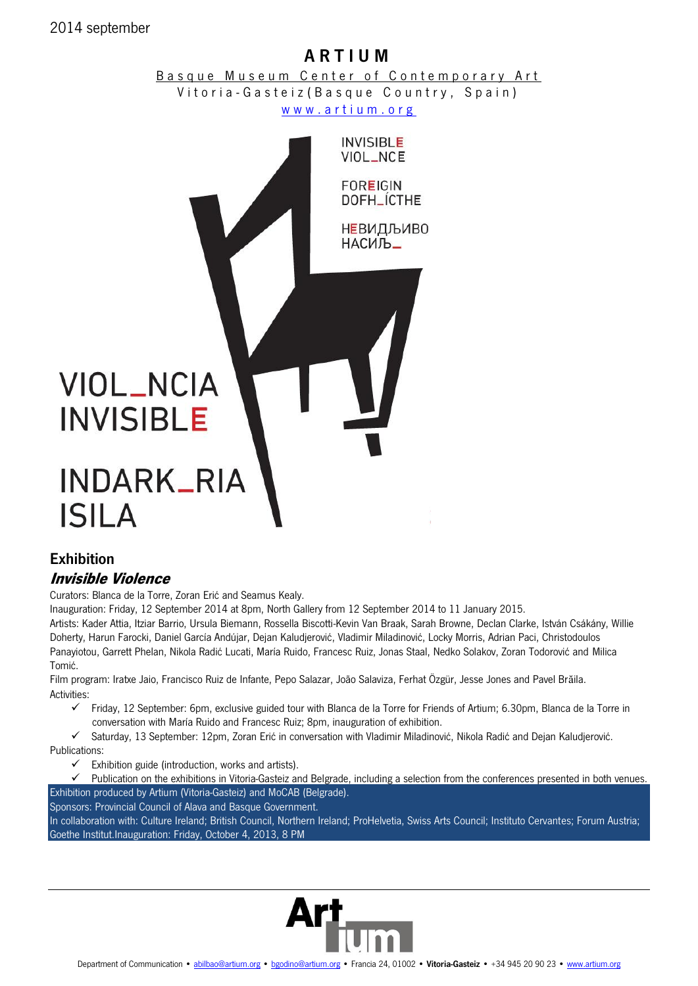### 2014 september

# A R T I U M

Basque Museum Center of Contemporary Art Vitoria - Gasteiz (Basque Country, Spain) www.artium.org



## Exhibition **Invisible Violence**

Curators: Blanca de la Torre, Zoran Erić and Seamus Kealy.

Inauguration: Friday, 12 September 2014 at 8pm, North Gallery from 12 September 2014 to 11 January 2015.

Artists: Kader Attia, Itziar Barrio, Ursula Biemann, Rossella Biscotti-Kevin Van Braak, Sarah Browne, Declan Clarke, István Csákány, Willie Doherty, Harun Farocki, Daniel García Andújar, Dejan Kaludjerović, Vladimir Miladinović, Locky Morris, Adrian Paci, Christodoulos Panayiotou, Garrett Phelan, Nikola Radić Lucati, María Ruido, Francesc Ruiz, Jonas Staal, Nedko Solakov, Zoran Todorović and Milica Tomić.

Film program: Iratxe Jaio, Francisco Ruiz de Infante, Pepo Salazar, João Salaviza, Ferhat Özgür, Jesse Jones and Pavel Brăila. Activities:

 Friday, 12 September: 6pm, exclusive guided tour with Blanca de la Torre for Friends of Artium; 6.30pm, Blanca de la Torre in conversation with María Ruido and Francesc Ruiz; 8pm, inauguration of exhibition.

 Saturday, 13 September: 12pm, Zoran Erić in conversation with Vladimir Miladinović, Nikola Radić and Dejan Kaludjerović. Publications:

 $\checkmark$  Exhibition guide (introduction, works and artists).

 $\checkmark$  Publication on the exhibitions in Vitoria-Gasteiz and Belgrade, including a selection from the conferences presented in both venues. Exhibition produced by Artium (Vitoria-Gasteiz) and MoCAB (Belgrade).

Sponsors: Provincial Council of Alava and Basque Government.

In collaboration with: Culture Ireland; British Council, Northern Ireland; ProHelvetia, Swiss Arts Council; Instituto Cervantes; Forum Austria; Goethe Institut.Inauguration: Friday, October 4, 2013, 8 PM

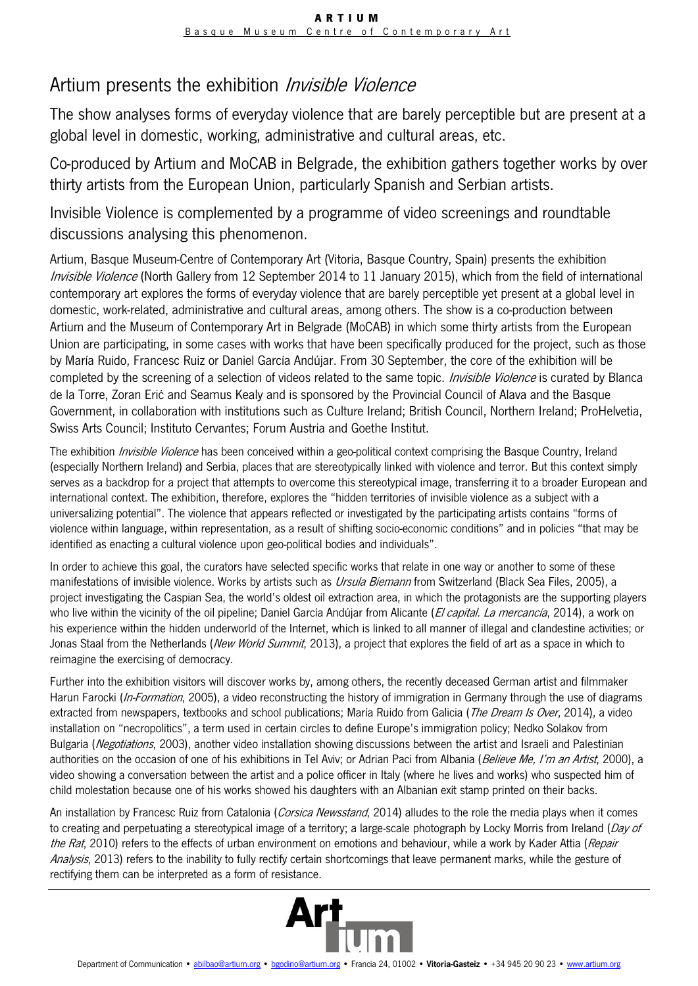# Artium presents the exhibition *Invisible Violence*

The show analyses forms of everyday violence that are barely perceptible but are present at a global level in domestic, working, administrative and cultural areas, etc.

Co-produced by Artium and MoCAB in Belgrade, the exhibition gathers together works by over thirty artists from the European Union, particularly Spanish and Serbian artists.

Invisible Violence is complemented by a programme of video screenings and roundtable discussions analysing this phenomenon.

Artium, Basque Museum-Centre of Contemporary Art (Vitoria, Basque Country, Spain) presents the exhibition Invisible Violence (North Gallery from 12 September 2014 to 11 January 2015), which from the field of international contemporary art explores the forms of everyday violence that are barely perceptible yet present at a global level in domestic, work-related, administrative and cultural areas, among others. The show is a co-production between Artium and the Museum of Contemporary Art in Belgrade (MoCAB) in which some thirty artists from the European Union are participating, in some cases with works that have been specifically produced for the project, such as those by María Ruido, Francesc Ruiz or Daniel García Andújar. From 30 September, the core of the exhibition will be completed by the screening of a selection of videos related to the same topic. *Invisible Violence* is curated by Blanca de la Torre, Zoran Erić and Seamus Kealy and is sponsored by the Provincial Council of Alava and the Basque Government, in collaboration with institutions such as Culture Ireland; British Council, Northern Ireland; ProHelvetia, Swiss Arts Council; Instituto Cervantes; Forum Austria and Goethe Institut.

The exhibition *Invisible Violence* has been conceived within a geo-political context comprising the Basque Country, Ireland (especially Northern Ireland) and Serbia, places that are stereotypically linked with violence and terror. But this context simply serves as a backdrop for a project that attempts to overcome this stereotypical image, transferring it to a broader European and international context. The exhibition, therefore, explores the "hidden territories of invisible violence as a subject with a universalizing potential". The violence that appears reflected or investigated by the participating artists contains "forms of violence within language, within representation, as a result of shifting socio-economic conditions" and in policies "that may be identified as enacting a cultural violence upon geo-political bodies and individuals".

In order to achieve this goal, the curators have selected specific works that relate in one way or another to some of these manifestations of invisible violence. Works by artists such as Ursula Biemann from Switzerland (Black Sea Files, 2005), a project investigating the Caspian Sea, the world's oldest oil extraction area, in which the protagonists are the supporting players who live within the vicinity of the oil pipeline; Daniel García Andújar from Alicante (El capital. La mercancía, 2014), a work on his experience within the hidden underworld of the Internet, which is linked to all manner of illegal and clandestine activities; or Jonas Staal from the Netherlands (New World Summit, 2013), a project that explores the field of art as a space in which to reimagine the exercising of democracy.

Further into the exhibition visitors will discover works by, among others, the recently deceased German artist and filmmaker Harun Farocki (In-Formation, 2005), a video reconstructing the history of immigration in Germany through the use of diagrams extracted from newspapers, textbooks and school publications; María Ruido from Galicia (*The Dream Is Over*, 2014), a video installation on "necropolitics", a term used in certain circles to define Europe's immigration policy; Nedko Solakov from Bulgaria (Negotiations, 2003), another video installation showing discussions between the artist and Israeli and Palestinian authorities on the occasion of one of his exhibitions in Tel Aviv; or Adrian Paci from Albania (Believe Me, I'm an Artist, 2000), a video showing a conversation between the artist and a police officer in Italy (where he lives and works) who suspected him of child molestation because one of his works showed his daughters with an Albanian exit stamp printed on their backs.

An installation by Francesc Ruiz from Catalonia (Corsica Newsstand, 2014) alludes to the role the media plays when it comes to creating and perpetuating a stereotypical image of a territory; a large-scale photograph by Locky Morris from Ireland (Day of the Rat, 2010) refers to the effects of urban environment on emotions and behaviour, while a work by Kader Attia (Repair Analysis, 2013) refers to the inability to fully rectify certain shortcomings that leave permanent marks, while the gesture of rectifying them can be interpreted as a form of resistance.